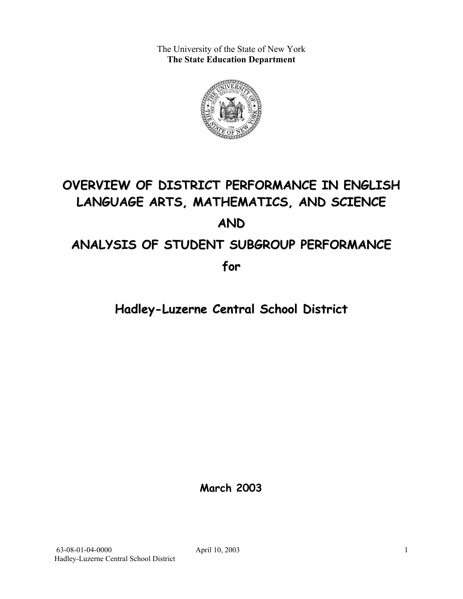The University of the State of New York **The State Education Department** 



# **OVERVIEW OF DISTRICT PERFORMANCE IN ENGLISH LANGUAGE ARTS, MATHEMATICS, AND SCIENCE AND ANALYSIS OF STUDENT SUBGROUP PERFORMANCE**

**for**

**Hadley-Luzerne Central School District**

**March 2003**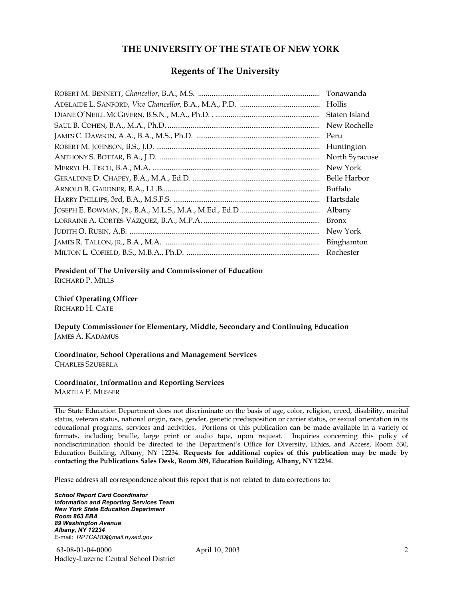#### **THE UNIVERSITY OF THE STATE OF NEW YORK**

#### **Regents of The University**

| Tonawanda      |
|----------------|
| Hollis         |
| Staten Island  |
| New Rochelle   |
| Peru           |
| Huntington     |
| North Syracuse |
| New York       |
| Belle Harbor   |
| Buffalo        |
| Hartsdale      |
| Albany         |
| <b>Bronx</b>   |
| New York       |
| Binghamton     |
| Rochester      |

#### **President of The University and Commissioner of Education**

RICHARD P. MILLS

#### **Chief Operating Officer**

RICHARD H. CATE

**Deputy Commissioner for Elementary, Middle, Secondary and Continuing Education**  JAMES A. KADAMUS

#### **Coordinator, School Operations and Management Services**  CHARLES SZUBERLA

#### **Coordinator, Information and Reporting Services**

MARTHA P. MUSSER

The State Education Department does not discriminate on the basis of age, color, religion, creed, disability, marital status, veteran status, national origin, race, gender, genetic predisposition or carrier status, or sexual orientation in its educational programs, services and activities. Portions of this publication can be made available in a variety of formats, including braille, large print or audio tape, upon request. Inquiries concerning this policy of nondiscrimination should be directed to the Department's Office for Diversity, Ethics, and Access, Room 530, Education Building, Albany, NY 12234. **Requests for additional copies of this publication may be made by contacting the Publications Sales Desk, Room 309, Education Building, Albany, NY 12234.** 

Please address all correspondence about this report that is not related to data corrections to:

*School Report Card Coordinator Information and Reporting Services Team New York State Education Department Room 863 EBA 89 Washington Avenue Albany, NY 12234*  E-mail: *RPTCARD@mail.nysed.gov*

 63-08-01-04-0000 April 10, 2003 Hadley-Luzerne Central School District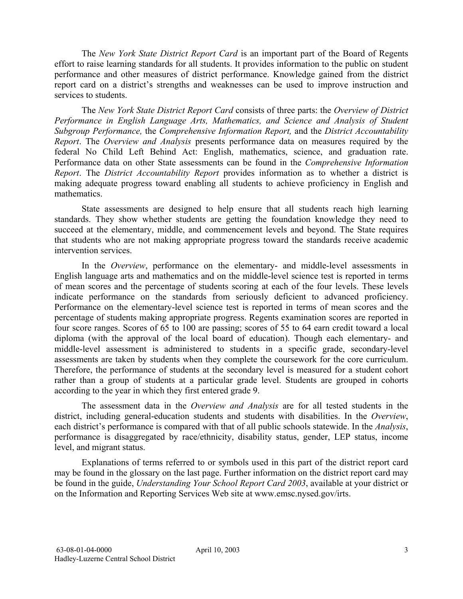The *New York State District Report Card* is an important part of the Board of Regents effort to raise learning standards for all students. It provides information to the public on student performance and other measures of district performance. Knowledge gained from the district report card on a district's strengths and weaknesses can be used to improve instruction and services to students.

The *New York State District Report Card* consists of three parts: the *Overview of District Performance in English Language Arts, Mathematics, and Science and Analysis of Student Subgroup Performance,* the *Comprehensive Information Report,* and the *District Accountability Report*. The *Overview and Analysis* presents performance data on measures required by the federal No Child Left Behind Act: English, mathematics, science, and graduation rate. Performance data on other State assessments can be found in the *Comprehensive Information Report*. The *District Accountability Report* provides information as to whether a district is making adequate progress toward enabling all students to achieve proficiency in English and mathematics.

State assessments are designed to help ensure that all students reach high learning standards. They show whether students are getting the foundation knowledge they need to succeed at the elementary, middle, and commencement levels and beyond. The State requires that students who are not making appropriate progress toward the standards receive academic intervention services.

In the *Overview*, performance on the elementary- and middle-level assessments in English language arts and mathematics and on the middle-level science test is reported in terms of mean scores and the percentage of students scoring at each of the four levels. These levels indicate performance on the standards from seriously deficient to advanced proficiency. Performance on the elementary-level science test is reported in terms of mean scores and the percentage of students making appropriate progress. Regents examination scores are reported in four score ranges. Scores of 65 to 100 are passing; scores of 55 to 64 earn credit toward a local diploma (with the approval of the local board of education). Though each elementary- and middle-level assessment is administered to students in a specific grade, secondary-level assessments are taken by students when they complete the coursework for the core curriculum. Therefore, the performance of students at the secondary level is measured for a student cohort rather than a group of students at a particular grade level. Students are grouped in cohorts according to the year in which they first entered grade 9.

The assessment data in the *Overview and Analysis* are for all tested students in the district, including general-education students and students with disabilities. In the *Overview*, each district's performance is compared with that of all public schools statewide. In the *Analysis*, performance is disaggregated by race/ethnicity, disability status, gender, LEP status, income level, and migrant status.

Explanations of terms referred to or symbols used in this part of the district report card may be found in the glossary on the last page. Further information on the district report card may be found in the guide, *Understanding Your School Report Card 2003*, available at your district or on the Information and Reporting Services Web site at www.emsc.nysed.gov/irts.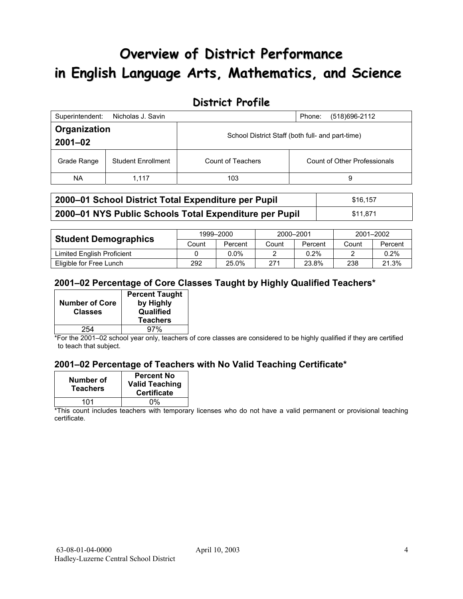# **Overview of District Performance in English Language Arts, Mathematics, and Science**

## **District Profile**

| Superintendent:             | Nicholas J. Savin         |                                                  | (518) 696-2112<br>Phone:     |  |
|-----------------------------|---------------------------|--------------------------------------------------|------------------------------|--|
| Organization<br>$2001 - 02$ |                           | School District Staff (both full- and part-time) |                              |  |
| Grade Range                 | <b>Student Enrollment</b> | Count of Teachers                                | Count of Other Professionals |  |
| NA.                         | 1.117                     | 103                                              | 9                            |  |

| 2000–01 School District Total Expenditure per Pupil    | \$16.157 |
|--------------------------------------------------------|----------|
| 2000-01 NYS Public Schools Total Expenditure per Pupil | \$11.871 |

|                             | 1999-2000 |         | 2000-2001 |         | 2001-2002 |         |
|-----------------------------|-----------|---------|-----------|---------|-----------|---------|
| <b>Student Demographics</b> | Count     | Percent | Count     | Percent | Count     | Percent |
| Limited English Proficient  |           | 0.0%    |           | $0.2\%$ |           | 0.2%    |
| Eligible for Free Lunch     | 292       | 25.0%   | 271       | 23.8%   | 238       | 21.3%   |

#### **2001–02 Percentage of Core Classes Taught by Highly Qualified Teachers\***

|                                         | <b>Percent Taught</b>  |
|-----------------------------------------|------------------------|
| <b>Number of Core</b><br><b>Classes</b> | by Highly<br>Qualified |
|                                         | <b>Teachers</b>        |
| 254                                     | 97%                    |

\*For the 2001–02 school year only, teachers of core classes are considered to be highly qualified if they are certified to teach that subject.

#### **2001–02 Percentage of Teachers with No Valid Teaching Certificate\***

| Number of<br><b>Teachers</b> | <b>Percent No</b><br><b>Valid Teaching</b><br><b>Certificate</b> |
|------------------------------|------------------------------------------------------------------|
| 101                          | $0\%$                                                            |

\*This count includes teachers with temporary licenses who do not have a valid permanent or provisional teaching certificate.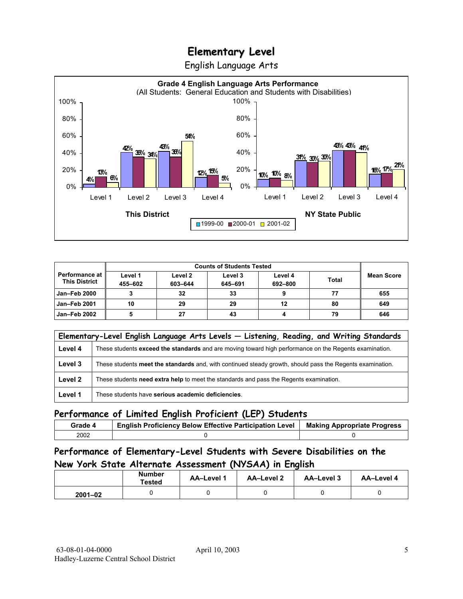English Language Arts



|                                               |                    | <b>Counts of Students Tested</b> |                    |                    |              |                   |
|-----------------------------------------------|--------------------|----------------------------------|--------------------|--------------------|--------------|-------------------|
| <b>Performance at</b><br><b>This District</b> | Level 1<br>455-602 | Level 2<br>603-644               | Level 3<br>645-691 | Level 4<br>692-800 | <b>Total</b> | <b>Mean Score</b> |
| <b>Jan-Feb 2000</b>                           |                    | 32                               | 33                 |                    |              | 655               |
| <b>Jan-Feb 2001</b>                           | 10                 | 29                               | 29                 | 12                 | 80           | 649               |
| Jan-Feb 2002                                  |                    | 27                               | 43                 |                    | 79           | 646               |

|         | Elementary-Level English Language Arts Levels - Listening, Reading, and Writing Standards                 |
|---------|-----------------------------------------------------------------------------------------------------------|
| Level 4 | These students exceed the standards and are moving toward high performance on the Regents examination.    |
| Level 3 | These students meet the standards and, with continued steady growth, should pass the Regents examination. |
| Level 2 | These students need extra help to meet the standards and pass the Regents examination.                    |
| Level 1 | These students have serious academic deficiencies.                                                        |

#### **Performance of Limited English Proficient (LEP) Students**

| Grade 4 | <b>English Proficiency Below Effective Participation Level</b> | <b>Making Appropriate Progress</b> |
|---------|----------------------------------------------------------------|------------------------------------|
| 2002    |                                                                |                                    |

#### **Performance of Elementary-Level Students with Severe Disabilities on the New York State Alternate Assessment (NYSAA) in English**

|             | <b>Number</b><br>Tested | <b>AA-Level 1</b> | AA-Level 2 | AA-Level 3 | AA-Level 4 |
|-------------|-------------------------|-------------------|------------|------------|------------|
| $2001 - 02$ |                         |                   |            |            |            |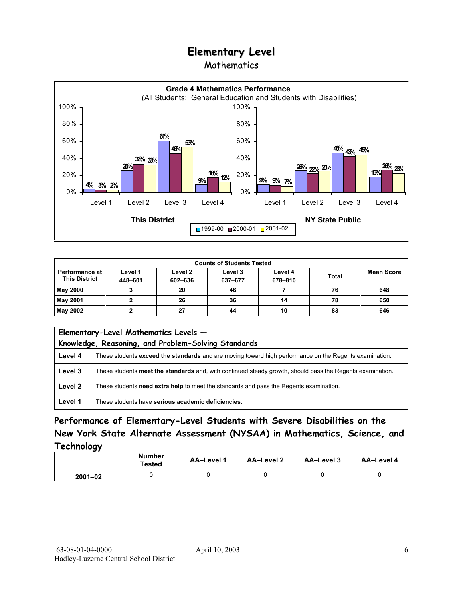### Mathematics



|                                                 | <b>Counts of Students Tested</b> |                    |                    |                    |              |                   |
|-------------------------------------------------|----------------------------------|--------------------|--------------------|--------------------|--------------|-------------------|
| <b>Performance at I</b><br><b>This District</b> | Level 1<br>448-601               | Level 2<br>602-636 | Level 3<br>637-677 | Level 4<br>678-810 | <b>Total</b> | <b>Mean Score</b> |
| May 2000                                        |                                  | 20                 | 46                 |                    | 76           | 648               |
| May 2001                                        |                                  | 26                 | 36                 | 14                 | 78           | 650               |
| May 2002                                        |                                  | 27                 | 44                 | 10                 | 83           | 646               |

| Elementary-Level Mathematics Levels -<br>Knowledge, Reasoning, and Problem-Solving Standards |                                                                                                           |  |
|----------------------------------------------------------------------------------------------|-----------------------------------------------------------------------------------------------------------|--|
| Level 4                                                                                      | These students exceed the standards and are moving toward high performance on the Regents examination.    |  |
| Level 3                                                                                      | These students meet the standards and, with continued steady growth, should pass the Regents examination. |  |
| Level 2                                                                                      | These students need extra help to meet the standards and pass the Regents examination.                    |  |
| Level 1                                                                                      | These students have serious academic deficiencies.                                                        |  |

### **Performance of Elementary-Level Students with Severe Disabilities on the New York State Alternate Assessment (NYSAA) in Mathematics, Science, and Technology**

|             | <b>Number</b><br>Tested | AA-Level 1 | <b>AA-Level 2</b> | AA-Level 3 | AA-Level 4 |
|-------------|-------------------------|------------|-------------------|------------|------------|
| $2001 - 02$ |                         |            |                   |            |            |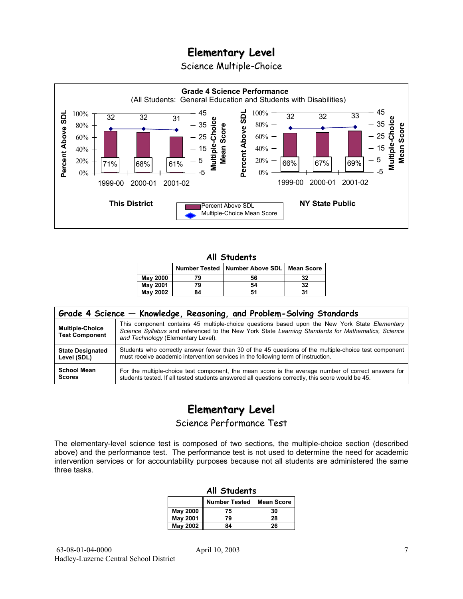Science Multiple-Choice



#### **All Students**

|                 |    | Number Tested   Number Above SDL | <b>Mean Score</b> |
|-----------------|----|----------------------------------|-------------------|
| <b>May 2000</b> | 79 | 56                               | 32                |
| <b>May 2001</b> | 79 | 54                               | 32                |
| May 2002        | 84 |                                  | 31                |

| Grade 4 Science – Knowledge, Reasoning, and Problem-Solving Standards |                                                                                                                                                                                                                                          |  |  |  |  |  |
|-----------------------------------------------------------------------|------------------------------------------------------------------------------------------------------------------------------------------------------------------------------------------------------------------------------------------|--|--|--|--|--|
| <b>Multiple-Choice</b><br><b>Test Component</b>                       | This component contains 45 multiple-choice questions based upon the New York State Elementary<br>Science Syllabus and referenced to the New York State Learning Standards for Mathematics, Science<br>and Technology (Elementary Level). |  |  |  |  |  |
| <b>State Designated</b>                                               | Students who correctly answer fewer than 30 of the 45 questions of the multiple-choice test component                                                                                                                                    |  |  |  |  |  |
| Level (SDL)                                                           | must receive academic intervention services in the following term of instruction.                                                                                                                                                        |  |  |  |  |  |
| <b>School Mean</b>                                                    | For the multiple-choice test component, the mean score is the average number of correct answers for                                                                                                                                      |  |  |  |  |  |
| <b>Scores</b>                                                         | students tested. If all tested students answered all questions correctly, this score would be 45.                                                                                                                                        |  |  |  |  |  |

# **Elementary Level**

Science Performance Test

The elementary-level science test is composed of two sections, the multiple-choice section (described above) and the performance test. The performance test is not used to determine the need for academic intervention services or for accountability purposes because not all students are administered the same three tasks.

| All Students                              |          |    |  |  |  |  |
|-------------------------------------------|----------|----|--|--|--|--|
| <b>Number Tested</b><br><b>Mean Score</b> |          |    |  |  |  |  |
| May 2000                                  | 75       | 30 |  |  |  |  |
| <b>May 2001</b>                           | 79       | 28 |  |  |  |  |
| May 2002                                  | 26<br>84 |    |  |  |  |  |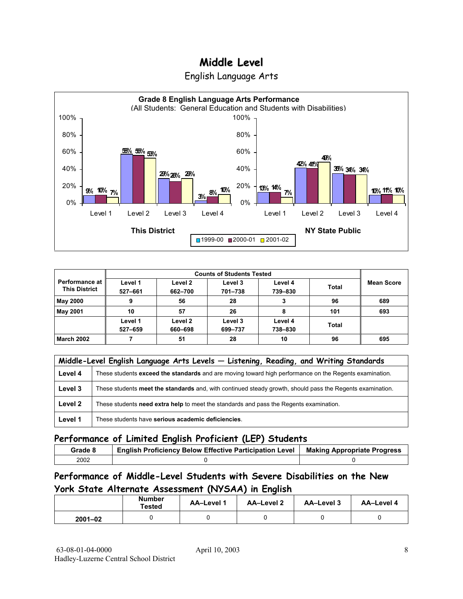## **Middle Level**





| <b>Performance at I</b><br><b>This District</b> | Level 1<br>527-661 | Level 2<br>662-700 | Level 3<br>701-738 | Level 4<br>739-830 | <b>Total</b> | <b>Mean Score</b> |
|-------------------------------------------------|--------------------|--------------------|--------------------|--------------------|--------------|-------------------|
| <b>May 2000</b>                                 | 9                  | 56                 | 28                 |                    | 96           | 689               |
| <b>May 2001</b>                                 | 10                 | 57                 | 26                 | 8                  | 101          | 693               |
|                                                 | Level 1<br>527-659 | Level 2<br>660-698 | Level 3<br>699-737 | Level 4<br>738-830 | <b>Total</b> |                   |
| <b>March 2002</b>                               |                    | 51                 | 28                 | 10                 | 96           | 695               |

|         | Middle-Level English Language Arts Levels - Listening, Reading, and Writing Standards                     |  |  |  |  |  |
|---------|-----------------------------------------------------------------------------------------------------------|--|--|--|--|--|
| Level 4 | These students exceed the standards and are moving toward high performance on the Regents examination.    |  |  |  |  |  |
| Level 3 | These students meet the standards and, with continued steady growth, should pass the Regents examination. |  |  |  |  |  |
| Level 2 | These students need extra help to meet the standards and pass the Regents examination.                    |  |  |  |  |  |
| Level 1 | These students have serious academic deficiencies.                                                        |  |  |  |  |  |

#### **Performance of Limited English Proficient (LEP) Students**

| Grade 8 | <b>English Proficiency Below Effective Participation Level</b> | <b>Making Appropriate Progress</b> |
|---------|----------------------------------------------------------------|------------------------------------|
| 2002    |                                                                |                                    |

#### **Performance of Middle-Level Students with Severe Disabilities on the New York State Alternate Assessment (NYSAA) in English**

|             | <b>Number</b><br>Tested | <b>AA-Level 1</b> | AA-Level 2 | AA-Level 3 | AA-Level 4 |
|-------------|-------------------------|-------------------|------------|------------|------------|
| $2001 - 02$ |                         |                   |            |            |            |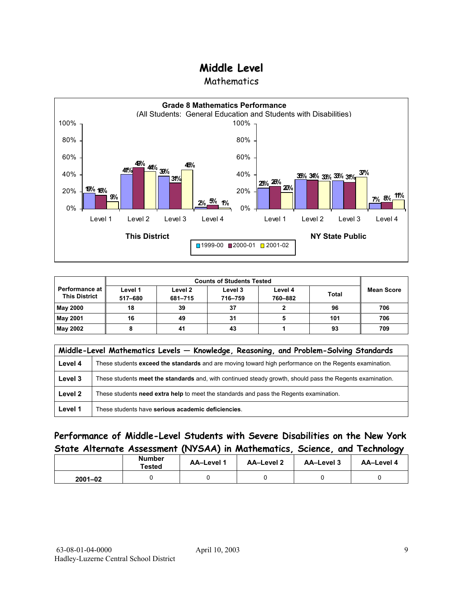## **Middle Level**

**Mathematics** 



| <b>Performance at</b><br><b>This District</b> | Level 1<br>517-680 | Level 2<br>681-715 | Level 3<br>716-759 | Level 4<br>760-882 | <b>Total</b> | <b>Mean Score</b> |
|-----------------------------------------------|--------------------|--------------------|--------------------|--------------------|--------------|-------------------|
| <b>May 2000</b>                               | 18                 | 39                 | 37                 |                    | 96           | 706               |
| <b>May 2001</b>                               | 16                 | 49                 | 31                 |                    | 101          | 706               |
| May 2002                                      |                    | 41                 | 43                 |                    | 93           | 709               |

|         | Middle-Level Mathematics Levels - Knowledge, Reasoning, and Problem-Solving Standards                     |  |  |  |  |  |
|---------|-----------------------------------------------------------------------------------------------------------|--|--|--|--|--|
| Level 4 | These students exceed the standards and are moving toward high performance on the Regents examination.    |  |  |  |  |  |
| Level 3 | These students meet the standards and, with continued steady growth, should pass the Regents examination. |  |  |  |  |  |
| Level 2 | These students need extra help to meet the standards and pass the Regents examination.                    |  |  |  |  |  |
| Level 1 | These students have serious academic deficiencies.                                                        |  |  |  |  |  |

#### **Performance of Middle-Level Students with Severe Disabilities on the New York State Alternate Assessment (NYSAA) in Mathematics, Science, and Technology**

|             | <b>Number</b><br>Tested | <b>AA-Level 1</b> | AA-Level 2 | AA-Level 3 | AA-Level 4 |
|-------------|-------------------------|-------------------|------------|------------|------------|
| $2001 - 02$ |                         |                   |            |            |            |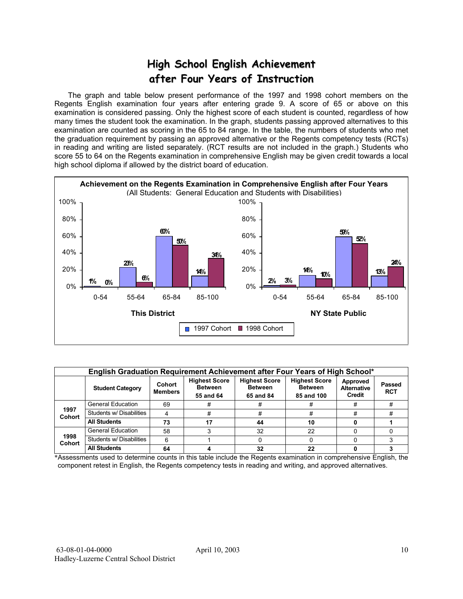# **High School English Achievement after Four Years of Instruction**

 The graph and table below present performance of the 1997 and 1998 cohort members on the Regents English examination four years after entering grade 9. A score of 65 or above on this examination is considered passing. Only the highest score of each student is counted, regardless of how many times the student took the examination. In the graph, students passing approved alternatives to this examination are counted as scoring in the 65 to 84 range. In the table, the numbers of students who met the graduation requirement by passing an approved alternative or the Regents competency tests (RCTs) in reading and writing are listed separately. (RCT results are not included in the graph.) Students who score 55 to 64 on the Regents examination in comprehensive English may be given credit towards a local high school diploma if allowed by the district board of education.



|                       | English Graduation Requirement Achievement after Four Years of High School* |                          |                                                     |                                                     |                                                      |                                                 |                             |  |  |
|-----------------------|-----------------------------------------------------------------------------|--------------------------|-----------------------------------------------------|-----------------------------------------------------|------------------------------------------------------|-------------------------------------------------|-----------------------------|--|--|
|                       | <b>Student Category</b>                                                     | Cohort<br><b>Members</b> | <b>Highest Score</b><br><b>Between</b><br>55 and 64 | <b>Highest Score</b><br><b>Between</b><br>65 and 84 | <b>Highest Score</b><br><b>Between</b><br>85 and 100 | Approved<br><b>Alternative</b><br><b>Credit</b> | <b>Passed</b><br><b>RCT</b> |  |  |
|                       | <b>General Education</b>                                                    | 69                       |                                                     |                                                     |                                                      | #                                               |                             |  |  |
| 1997<br><b>Cohort</b> | Students w/ Disabilities                                                    |                          | #                                                   |                                                     | #                                                    | #                                               |                             |  |  |
|                       | <b>All Students</b>                                                         | 73                       | 17                                                  | 44                                                  | 10                                                   |                                                 |                             |  |  |
|                       | <b>General Education</b>                                                    | 58                       |                                                     | 32                                                  | 22                                                   |                                                 |                             |  |  |
| 1998<br><b>Cohort</b> | Students w/ Disabilities                                                    | 6                        |                                                     |                                                     |                                                      |                                                 |                             |  |  |
|                       | <b>All Students</b>                                                         | 64                       |                                                     | 32                                                  | 22                                                   |                                                 |                             |  |  |

\*Assessments used to determine counts in this table include the Regents examination in comprehensive English, the component retest in English, the Regents competency tests in reading and writing, and approved alternatives.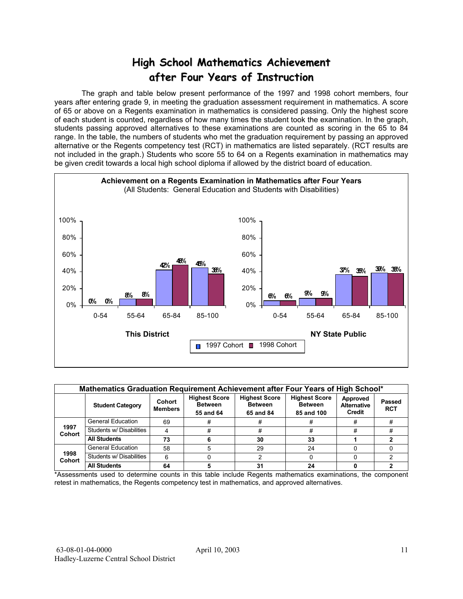# **High School Mathematics Achievement after Four Years of Instruction**

 The graph and table below present performance of the 1997 and 1998 cohort members, four years after entering grade 9, in meeting the graduation assessment requirement in mathematics. A score of 65 or above on a Regents examination in mathematics is considered passing. Only the highest score of each student is counted, regardless of how many times the student took the examination. In the graph, students passing approved alternatives to these examinations are counted as scoring in the 65 to 84 range. In the table, the numbers of students who met the graduation requirement by passing an approved alternative or the Regents competency test (RCT) in mathematics are listed separately. (RCT results are not included in the graph.) Students who score 55 to 64 on a Regents examination in mathematics may be given credit towards a local high school diploma if allowed by the district board of education.



|                       | Mathematics Graduation Requirement Achievement after Four Years of High School* |                          |                                                     |                                                     |                                                      |                                          |                             |  |  |  |  |  |
|-----------------------|---------------------------------------------------------------------------------|--------------------------|-----------------------------------------------------|-----------------------------------------------------|------------------------------------------------------|------------------------------------------|-----------------------------|--|--|--|--|--|
|                       | <b>Student Category</b>                                                         | Cohort<br><b>Members</b> | <b>Highest Score</b><br><b>Between</b><br>55 and 64 | <b>Highest Score</b><br><b>Between</b><br>65 and 84 | <b>Highest Score</b><br><b>Between</b><br>85 and 100 | Approved<br><b>Alternative</b><br>Credit | <b>Passed</b><br><b>RCT</b> |  |  |  |  |  |
|                       | <b>General Education</b>                                                        | 69                       | #                                                   | 77                                                  | #                                                    | #                                        |                             |  |  |  |  |  |
| 1997<br><b>Cohort</b> | Students w/ Disabilities                                                        | Δ                        | #                                                   | #                                                   | #                                                    | #                                        | #                           |  |  |  |  |  |
|                       | <b>All Students</b>                                                             | 73                       |                                                     | 30                                                  | 33                                                   |                                          |                             |  |  |  |  |  |
|                       | <b>General Education</b>                                                        | 58                       | 5                                                   | 29                                                  | 24                                                   |                                          |                             |  |  |  |  |  |
| 1998<br><b>Cohort</b> | Students w/ Disabilities                                                        | 6                        |                                                     |                                                     |                                                      |                                          |                             |  |  |  |  |  |
|                       | <b>All Students</b>                                                             | 64                       |                                                     | 31                                                  | 24                                                   |                                          |                             |  |  |  |  |  |

\*Assessments used to determine counts in this table include Regents mathematics examinations, the component retest in mathematics, the Regents competency test in mathematics, and approved alternatives.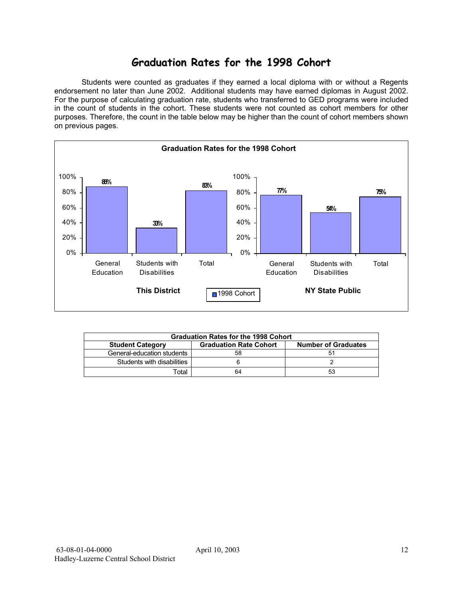## **Graduation Rates for the 1998 Cohort**

 Students were counted as graduates if they earned a local diploma with or without a Regents endorsement no later than June 2002. Additional students may have earned diplomas in August 2002. For the purpose of calculating graduation rate, students who transferred to GED programs were included in the count of students in the cohort. These students were not counted as cohort members for other purposes. Therefore, the count in the table below may be higher than the count of cohort members shown on previous pages.



| <b>Graduation Rates for the 1998 Cohort</b>                                            |    |    |  |  |  |  |  |  |  |
|----------------------------------------------------------------------------------------|----|----|--|--|--|--|--|--|--|
| <b>Graduation Rate Cohort</b><br><b>Number of Graduates</b><br><b>Student Category</b> |    |    |  |  |  |  |  |  |  |
| General-education students                                                             | 58 | 51 |  |  |  |  |  |  |  |
| Students with disabilities                                                             |    |    |  |  |  |  |  |  |  |
| ™otal                                                                                  | 64 | 53 |  |  |  |  |  |  |  |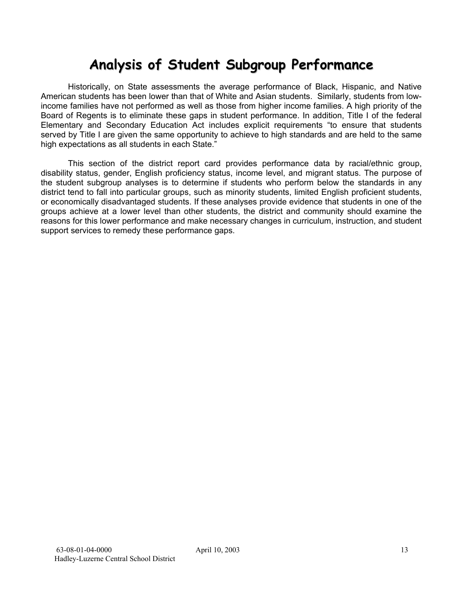# **Analysis of Student Subgroup Performance**

Historically, on State assessments the average performance of Black, Hispanic, and Native American students has been lower than that of White and Asian students. Similarly, students from lowincome families have not performed as well as those from higher income families. A high priority of the Board of Regents is to eliminate these gaps in student performance. In addition, Title I of the federal Elementary and Secondary Education Act includes explicit requirements "to ensure that students served by Title I are given the same opportunity to achieve to high standards and are held to the same high expectations as all students in each State."

This section of the district report card provides performance data by racial/ethnic group, disability status, gender, English proficiency status, income level, and migrant status. The purpose of the student subgroup analyses is to determine if students who perform below the standards in any district tend to fall into particular groups, such as minority students, limited English proficient students, or economically disadvantaged students. If these analyses provide evidence that students in one of the groups achieve at a lower level than other students, the district and community should examine the reasons for this lower performance and make necessary changes in curriculum, instruction, and student support services to remedy these performance gaps.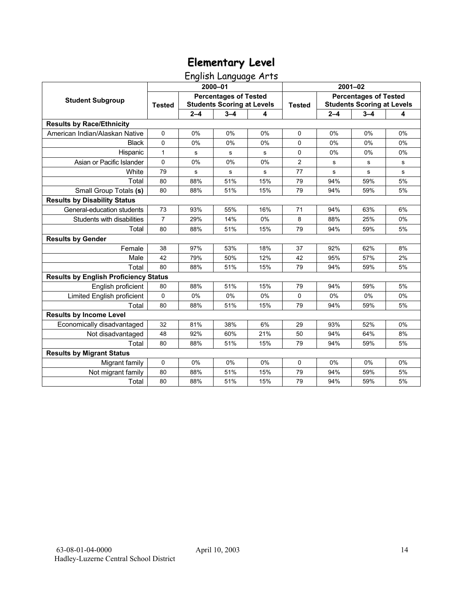English Language Arts

|                                              |                |         | 2000-01                                                           |     | $2001 - 02$    |                                                                   |         |    |
|----------------------------------------------|----------------|---------|-------------------------------------------------------------------|-----|----------------|-------------------------------------------------------------------|---------|----|
| <b>Student Subgroup</b>                      | <b>Tested</b>  |         | <b>Percentages of Tested</b><br><b>Students Scoring at Levels</b> |     | <b>Tested</b>  | <b>Percentages of Tested</b><br><b>Students Scoring at Levels</b> |         |    |
|                                              |                | $2 - 4$ | $3 - 4$                                                           | 4   |                | $2 - 4$                                                           | $3 - 4$ | 4  |
| <b>Results by Race/Ethnicity</b>             |                |         |                                                                   |     |                |                                                                   |         |    |
| American Indian/Alaskan Native               | $\mathbf 0$    | 0%      | 0%                                                                | 0%  | $\Omega$       | 0%                                                                | 0%      | 0% |
| <b>Black</b>                                 | 0              | $0\%$   | 0%                                                                | 0%  | 0              | 0%                                                                | 0%      | 0% |
| Hispanic                                     | 1              | s       | $\mathbf s$                                                       | s   | 0              | 0%                                                                | 0%      | 0% |
| Asian or Pacific Islander                    | 0              | 0%      | 0%                                                                | 0%  | $\overline{c}$ | s                                                                 | s       | s  |
| White                                        | 79             | s       | s                                                                 | s   | 77             | s                                                                 | s       | s  |
| Total                                        | 80             | 88%     | 51%                                                               | 15% | 79             | 94%                                                               | 59%     | 5% |
| Small Group Totals (s)                       | 80             | 88%     | 51%                                                               | 15% | 79             | 94%                                                               | 59%     | 5% |
| <b>Results by Disability Status</b>          |                |         |                                                                   |     |                |                                                                   |         |    |
| General-education students                   | 73             | 93%     | 55%                                                               | 16% | 71             | 94%                                                               | 63%     | 6% |
| Students with disabilities                   | $\overline{7}$ | 29%     | 14%                                                               | 0%  | 8              | 88%                                                               | 25%     | 0% |
| Total                                        | 80             | 88%     | 51%                                                               | 15% | 79             | 94%                                                               | 59%     | 5% |
| <b>Results by Gender</b>                     |                |         |                                                                   |     |                |                                                                   |         |    |
| Female                                       | 38             | 97%     | 53%                                                               | 18% | 37             | 92%                                                               | 62%     | 8% |
| Male                                         | 42             | 79%     | 50%                                                               | 12% | 42             | 95%                                                               | 57%     | 2% |
| Total                                        | 80             | 88%     | 51%                                                               | 15% | 79             | 94%                                                               | 59%     | 5% |
| <b>Results by English Proficiency Status</b> |                |         |                                                                   |     |                |                                                                   |         |    |
| English proficient                           | 80             | 88%     | 51%                                                               | 15% | 79             | 94%                                                               | 59%     | 5% |
| Limited English proficient                   | $\mathbf 0$    | 0%      | 0%                                                                | 0%  | 0              | 0%                                                                | 0%      | 0% |
| Total                                        | 80             | 88%     | 51%                                                               | 15% | 79             | 94%                                                               | 59%     | 5% |
| <b>Results by Income Level</b>               |                |         |                                                                   |     |                |                                                                   |         |    |
| Economically disadvantaged                   | 32             | 81%     | 38%                                                               | 6%  | 29             | 93%                                                               | 52%     | 0% |
| Not disadvantaged                            | 48             | 92%     | 60%                                                               | 21% | 50             | 94%                                                               | 64%     | 8% |
| Total                                        | 80             | 88%     | 51%                                                               | 15% | 79             | 94%                                                               | 59%     | 5% |
| <b>Results by Migrant Status</b>             |                |         |                                                                   |     |                |                                                                   |         |    |
| Migrant family                               | 0              | $0\%$   | 0%                                                                | 0%  | $\mathbf 0$    | 0%                                                                | 0%      | 0% |
| Not migrant family                           | 80             | 88%     | 51%                                                               | 15% | 79             | 94%                                                               | 59%     | 5% |
| Total                                        | 80             | 88%     | 51%                                                               | 15% | 79             | 94%                                                               | 59%     | 5% |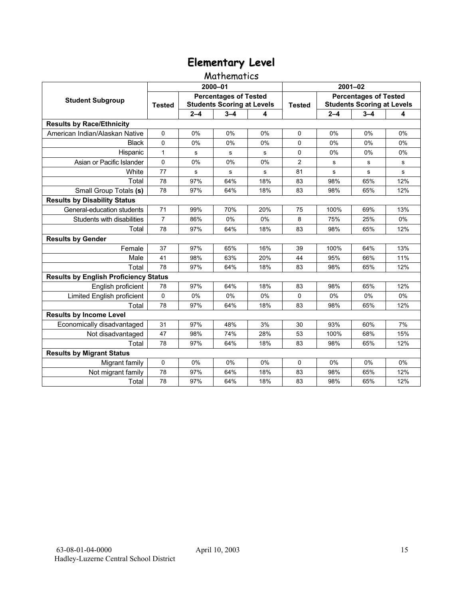#### Mathematics

|                                              |                |         | 2000-01                                                           |       | $2001 - 02$    |                                                                   |         |           |
|----------------------------------------------|----------------|---------|-------------------------------------------------------------------|-------|----------------|-------------------------------------------------------------------|---------|-----------|
| <b>Student Subgroup</b>                      | <b>Tested</b>  |         | <b>Percentages of Tested</b><br><b>Students Scoring at Levels</b> |       | <b>Tested</b>  | <b>Percentages of Tested</b><br><b>Students Scoring at Levels</b> |         |           |
|                                              |                | $2 - 4$ | $3 - 4$                                                           | 4     |                | $2 - 4$                                                           | $3 - 4$ | 4         |
| <b>Results by Race/Ethnicity</b>             |                |         |                                                                   |       |                |                                                                   |         |           |
| American Indian/Alaskan Native               | $\Omega$       | 0%      | 0%                                                                | 0%    | $\Omega$       | 0%                                                                | 0%      | 0%        |
| <b>Black</b>                                 | $\Omega$       | 0%      | 0%                                                                | $0\%$ | $\Omega$       | 0%                                                                | $0\%$   | 0%        |
| Hispanic                                     | $\mathbf{1}$   | s       | s                                                                 | s     | 0              | 0%                                                                | 0%      | 0%        |
| Asian or Pacific Islander                    | 0              | 0%      | 0%                                                                | 0%    | $\overline{2}$ | s                                                                 | s       | s         |
| White                                        | 77             | s       | s                                                                 | s     | 81             | $\mathbf s$                                                       | s       | ${\bf s}$ |
| Total                                        | 78             | 97%     | 64%                                                               | 18%   | 83             | 98%                                                               | 65%     | 12%       |
| Small Group Totals (s)                       | 78             | 97%     | 64%                                                               | 18%   | 83             | 98%                                                               | 65%     | 12%       |
| <b>Results by Disability Status</b>          |                |         |                                                                   |       |                |                                                                   |         |           |
| General-education students                   | 71             | 99%     | 70%                                                               | 20%   | 75             | 100%                                                              | 69%     | 13%       |
| Students with disabilities                   | $\overline{7}$ | 86%     | 0%                                                                | 0%    | 8              | 75%                                                               | 25%     | 0%        |
| Total                                        | 78             | 97%     | 64%                                                               | 18%   | 83             | 98%                                                               | 65%     | 12%       |
| <b>Results by Gender</b>                     |                |         |                                                                   |       |                |                                                                   |         |           |
| Female                                       | 37             | 97%     | 65%                                                               | 16%   | 39             | 100%                                                              | 64%     | 13%       |
| Male                                         | 41             | 98%     | 63%                                                               | 20%   | 44             | 95%                                                               | 66%     | 11%       |
| Total                                        | 78             | 97%     | 64%                                                               | 18%   | 83             | 98%                                                               | 65%     | 12%       |
| <b>Results by English Proficiency Status</b> |                |         |                                                                   |       |                |                                                                   |         |           |
| English proficient                           | 78             | 97%     | 64%                                                               | 18%   | 83             | 98%                                                               | 65%     | 12%       |
| Limited English proficient                   | 0              | 0%      | 0%                                                                | 0%    | 0              | 0%                                                                | 0%      | 0%        |
| Total                                        | 78             | 97%     | 64%                                                               | 18%   | 83             | 98%                                                               | 65%     | 12%       |
| <b>Results by Income Level</b>               |                |         |                                                                   |       |                |                                                                   |         |           |
| Economically disadvantaged                   | 31             | 97%     | 48%                                                               | 3%    | 30             | 93%                                                               | 60%     | 7%        |
| Not disadvantaged                            | 47             | 98%     | 74%                                                               | 28%   | 53             | 100%                                                              | 68%     | 15%       |
| Total                                        | 78             | 97%     | 64%                                                               | 18%   | 83             | 98%                                                               | 65%     | 12%       |
| <b>Results by Migrant Status</b>             |                |         |                                                                   |       |                |                                                                   |         |           |
| Migrant family                               | 0              | $0\%$   | 0%                                                                | $0\%$ | $\Omega$       | $0\%$                                                             | $0\%$   | 0%        |
| Not migrant family                           | 78             | 97%     | 64%                                                               | 18%   | 83             | 98%                                                               | 65%     | 12%       |
| Total                                        | 78             | 97%     | 64%                                                               | 18%   | 83             | 98%                                                               | 65%     | 12%       |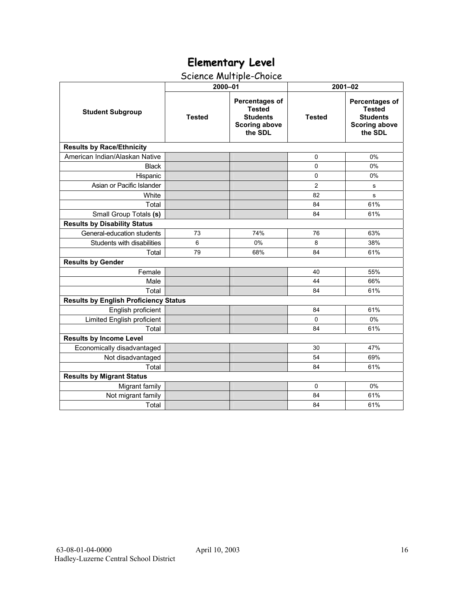# Science Multiple-Choice

|                                              | 2000-01       |                                                                                              | $2001 - 02$    |                                                                                              |  |  |
|----------------------------------------------|---------------|----------------------------------------------------------------------------------------------|----------------|----------------------------------------------------------------------------------------------|--|--|
| <b>Student Subgroup</b>                      | <b>Tested</b> | <b>Percentages of</b><br><b>Tested</b><br><b>Students</b><br><b>Scoring above</b><br>the SDL | <b>Tested</b>  | <b>Percentages of</b><br><b>Tested</b><br><b>Students</b><br><b>Scoring above</b><br>the SDL |  |  |
| <b>Results by Race/Ethnicity</b>             |               |                                                                                              |                |                                                                                              |  |  |
| American Indian/Alaskan Native               |               |                                                                                              | $\Omega$       | 0%                                                                                           |  |  |
| <b>Black</b>                                 |               |                                                                                              | 0              | 0%                                                                                           |  |  |
| Hispanic                                     |               |                                                                                              | 0              | 0%                                                                                           |  |  |
| Asian or Pacific Islander                    |               |                                                                                              | $\overline{2}$ | s                                                                                            |  |  |
| White                                        |               |                                                                                              | 82             | s                                                                                            |  |  |
| Total                                        |               |                                                                                              | 84             | 61%                                                                                          |  |  |
| Small Group Totals (s)                       |               |                                                                                              | 84             | 61%                                                                                          |  |  |
| <b>Results by Disability Status</b>          |               |                                                                                              |                |                                                                                              |  |  |
| General-education students                   | 73            | 74%                                                                                          | 76             | 63%                                                                                          |  |  |
| Students with disabilities                   | 6             | 0%                                                                                           | 8              | 38%                                                                                          |  |  |
| Total                                        | 79            | 68%                                                                                          | 84             | 61%                                                                                          |  |  |
| <b>Results by Gender</b>                     |               |                                                                                              |                |                                                                                              |  |  |
| Female                                       |               |                                                                                              | 40             | 55%                                                                                          |  |  |
| Male                                         |               |                                                                                              | 44             | 66%                                                                                          |  |  |
| Total                                        |               |                                                                                              | 84             | 61%                                                                                          |  |  |
| <b>Results by English Proficiency Status</b> |               |                                                                                              |                |                                                                                              |  |  |
| English proficient                           |               |                                                                                              | 84             | 61%                                                                                          |  |  |
| Limited English proficient                   |               |                                                                                              | 0              | 0%                                                                                           |  |  |
| Total                                        |               |                                                                                              | 84             | 61%                                                                                          |  |  |
| <b>Results by Income Level</b>               |               |                                                                                              |                |                                                                                              |  |  |
| Economically disadvantaged                   |               |                                                                                              | 30             | 47%                                                                                          |  |  |
| Not disadvantaged                            |               |                                                                                              | 54             | 69%                                                                                          |  |  |
| Total                                        |               |                                                                                              | 84             | 61%                                                                                          |  |  |
| <b>Results by Migrant Status</b>             |               |                                                                                              |                |                                                                                              |  |  |
| Migrant family                               |               |                                                                                              | 0              | 0%                                                                                           |  |  |
| Not migrant family                           |               |                                                                                              | 84             | 61%                                                                                          |  |  |
| Total                                        |               |                                                                                              | 84             | 61%                                                                                          |  |  |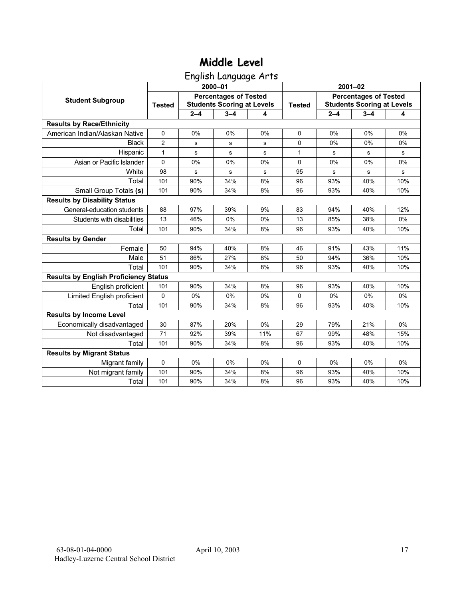# **Middle Level**

English Language Arts

|                                              |                |         | 2000-01                                                           |     | $2001 - 02$   |                                                                   |         |       |
|----------------------------------------------|----------------|---------|-------------------------------------------------------------------|-----|---------------|-------------------------------------------------------------------|---------|-------|
| <b>Student Subgroup</b>                      | <b>Tested</b>  |         | <b>Percentages of Tested</b><br><b>Students Scoring at Levels</b> |     | <b>Tested</b> | <b>Percentages of Tested</b><br><b>Students Scoring at Levels</b> |         |       |
|                                              |                | $2 - 4$ | $3 - 4$                                                           | 4   |               | $2 - 4$                                                           | $3 - 4$ | 4     |
| <b>Results by Race/Ethnicity</b>             |                |         |                                                                   |     |               |                                                                   |         |       |
| American Indian/Alaskan Native               | $\mathbf 0$    | 0%      | 0%                                                                | 0%  | $\Omega$      | 0%                                                                | 0%      | 0%    |
| <b>Black</b>                                 | $\overline{2}$ | s       | s                                                                 | s   | $\Omega$      | 0%                                                                | 0%      | 0%    |
| Hispanic                                     | $\mathbf{1}$   | s       | s                                                                 | s   | 1             | s                                                                 | s       | s     |
| Asian or Pacific Islander                    | $\mathbf 0$    | 0%      | 0%                                                                | 0%  | 0             | 0%                                                                | 0%      | 0%    |
| White                                        | 98             | s       | ${\bf s}$                                                         | s   | 95            | s                                                                 | s       | s     |
| Total                                        | 101            | 90%     | 34%                                                               | 8%  | 96            | 93%                                                               | 40%     | 10%   |
| Small Group Totals (s)                       | 101            | 90%     | 34%                                                               | 8%  | 96            | 93%                                                               | 40%     | 10%   |
| <b>Results by Disability Status</b>          |                |         |                                                                   |     |               |                                                                   |         |       |
| General-education students                   | 88             | 97%     | 39%                                                               | 9%  | 83            | 94%                                                               | 40%     | 12%   |
| Students with disabilities                   | 13             | 46%     | 0%                                                                | 0%  | 13            | 85%                                                               | 38%     | $0\%$ |
| Total                                        | 101            | 90%     | 34%                                                               | 8%  | 96            | 93%                                                               | 40%     | 10%   |
| <b>Results by Gender</b>                     |                |         |                                                                   |     |               |                                                                   |         |       |
| Female                                       | 50             | 94%     | 40%                                                               | 8%  | 46            | 91%                                                               | 43%     | 11%   |
| Male                                         | 51             | 86%     | 27%                                                               | 8%  | 50            | 94%                                                               | 36%     | 10%   |
| Total                                        | 101            | 90%     | 34%                                                               | 8%  | 96            | 93%                                                               | 40%     | 10%   |
| <b>Results by English Proficiency Status</b> |                |         |                                                                   |     |               |                                                                   |         |       |
| English proficient                           | 101            | 90%     | 34%                                                               | 8%  | 96            | 93%                                                               | 40%     | 10%   |
| Limited English proficient                   | 0              | 0%      | 0%                                                                | 0%  | 0             | 0%                                                                | 0%      | 0%    |
| Total                                        | 101            | 90%     | 34%                                                               | 8%  | 96            | 93%                                                               | 40%     | 10%   |
| <b>Results by Income Level</b>               |                |         |                                                                   |     |               |                                                                   |         |       |
| Economically disadvantaged                   | 30             | 87%     | 20%                                                               | 0%  | 29            | 79%                                                               | 21%     | 0%    |
| Not disadvantaged                            | 71             | 92%     | 39%                                                               | 11% | 67            | 99%                                                               | 48%     | 15%   |
| Total                                        | 101            | 90%     | 34%                                                               | 8%  | 96            | 93%                                                               | 40%     | 10%   |
| <b>Results by Migrant Status</b>             |                |         |                                                                   |     |               |                                                                   |         |       |
| Migrant family                               | 0              | $0\%$   | 0%                                                                | 0%  | $\Omega$      | $0\%$                                                             | $0\%$   | 0%    |
| Not migrant family                           | 101            | 90%     | 34%                                                               | 8%  | 96            | 93%                                                               | 40%     | 10%   |
| Total                                        | 101            | 90%     | 34%                                                               | 8%  | 96            | 93%                                                               | 40%     | 10%   |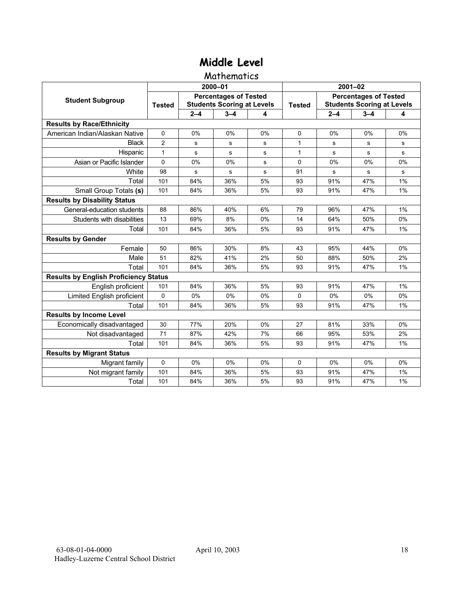# **Middle Level**

#### Mathematics

|                                              |               |         | 2000-01                                                           |    | $2001 - 02$   |                                                                   |         |       |
|----------------------------------------------|---------------|---------|-------------------------------------------------------------------|----|---------------|-------------------------------------------------------------------|---------|-------|
| <b>Student Subgroup</b>                      | <b>Tested</b> |         | <b>Percentages of Tested</b><br><b>Students Scoring at Levels</b> |    | <b>Tested</b> | <b>Percentages of Tested</b><br><b>Students Scoring at Levels</b> |         |       |
|                                              |               | $2 - 4$ | $3 - 4$                                                           | 4  |               | $2 - 4$                                                           | $3 - 4$ | 4     |
| <b>Results by Race/Ethnicity</b>             |               |         |                                                                   |    |               |                                                                   |         |       |
| American Indian/Alaskan Native               | $\mathbf 0$   | 0%      | 0%                                                                | 0% | $\Omega$      | 0%                                                                | 0%      | 0%    |
| <b>Black</b>                                 | 2             | s       | s                                                                 | s  | 1             | s                                                                 | s       | s     |
| Hispanic                                     | $\mathbf{1}$  | s       | s                                                                 | s  | $\mathbf{1}$  | s                                                                 | s       | s     |
| Asian or Pacific Islander                    | 0             | 0%      | 0%                                                                | s  | 0             | 0%                                                                | 0%      | 0%    |
| White                                        | 98            | s       | s                                                                 | s  | 91            | s                                                                 | s       | s     |
| Total                                        | 101           | 84%     | 36%                                                               | 5% | 93            | 91%                                                               | 47%     | 1%    |
| Small Group Totals (s)                       | 101           | 84%     | 36%                                                               | 5% | 93            | 91%                                                               | 47%     | 1%    |
| <b>Results by Disability Status</b>          |               |         |                                                                   |    |               |                                                                   |         |       |
| General-education students                   | 88            | 86%     | 40%                                                               | 6% | 79            | 96%                                                               | 47%     | 1%    |
| Students with disabilities                   | 13            | 69%     | 8%                                                                | 0% | 14            | 64%                                                               | 50%     | 0%    |
| Total                                        | 101           | 84%     | 36%                                                               | 5% | 93            | 91%                                                               | 47%     | 1%    |
| <b>Results by Gender</b>                     |               |         |                                                                   |    |               |                                                                   |         |       |
| Female                                       | 50            | 86%     | 30%                                                               | 8% | 43            | 95%                                                               | 44%     | $0\%$ |
| Male                                         | 51            | 82%     | 41%                                                               | 2% | 50            | 88%                                                               | 50%     | 2%    |
| Total                                        | 101           | 84%     | 36%                                                               | 5% | 93            | 91%                                                               | 47%     | 1%    |
| <b>Results by English Proficiency Status</b> |               |         |                                                                   |    |               |                                                                   |         |       |
| English proficient                           | 101           | 84%     | 36%                                                               | 5% | 93            | 91%                                                               | 47%     | 1%    |
| Limited English proficient                   | 0             | 0%      | 0%                                                                | 0% | $\Omega$      | 0%                                                                | 0%      | 0%    |
| Total                                        | 101           | 84%     | 36%                                                               | 5% | 93            | 91%                                                               | 47%     | 1%    |
| <b>Results by Income Level</b>               |               |         |                                                                   |    |               |                                                                   |         |       |
| Economically disadvantaged                   | 30            | 77%     | 20%                                                               | 0% | 27            | 81%                                                               | 33%     | 0%    |
| Not disadvantaged                            | 71            | 87%     | 42%                                                               | 7% | 66            | 95%                                                               | 53%     | 2%    |
| Total                                        | 101           | 84%     | 36%                                                               | 5% | 93            | 91%                                                               | 47%     | 1%    |
| <b>Results by Migrant Status</b>             |               |         |                                                                   |    |               |                                                                   |         |       |
| Migrant family                               | 0             | 0%      | 0%                                                                | 0% | $\Omega$      | 0%                                                                | 0%      | 0%    |
| Not migrant family                           | 101           | 84%     | 36%                                                               | 5% | 93            | 91%                                                               | 47%     | 1%    |
| Total                                        | 101           | 84%     | 36%                                                               | 5% | 93            | 91%                                                               | 47%     | 1%    |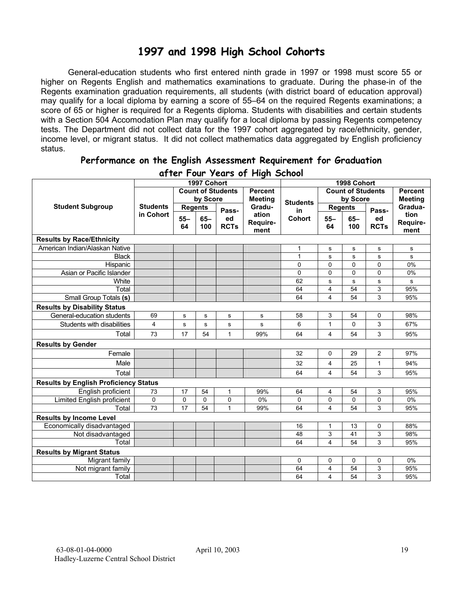## **1997 and 1998 High School Cohorts**

General-education students who first entered ninth grade in 1997 or 1998 must score 55 or higher on Regents English and mathematics examinations to graduate. During the phase-in of the Regents examination graduation requirements, all students (with district board of education approval) may qualify for a local diploma by earning a score of 55–64 on the required Regents examinations; a score of 65 or higher is required for a Regents diploma. Students with disabilities and certain students with a Section 504 Accomodation Plan may qualify for a local diploma by passing Regents competency tests. The Department did not collect data for the 1997 cohort aggregated by race/ethnicity, gender, income level, or migrant status. It did not collect mathematics data aggregated by English proficiency status.

| a) ier Tour zears of Flight School           |                 |                |             |                          |                 |               |                |                          |                |                |
|----------------------------------------------|-----------------|----------------|-------------|--------------------------|-----------------|---------------|----------------|--------------------------|----------------|----------------|
| 1997 Cohort                                  |                 |                |             |                          |                 |               |                | 1998 Cohort              |                |                |
|                                              |                 |                |             | <b>Count of Students</b> | <b>Percent</b>  |               |                | <b>Count of Students</b> |                | <b>Percent</b> |
|                                              |                 | by Score       |             | <b>Meeting</b>           | <b>Students</b> | by Score      |                |                          | <b>Meeting</b> |                |
| <b>Student Subgroup</b>                      | <b>Students</b> | <b>Regents</b> |             | Pass-                    | Gradu-          | in            | <b>Regents</b> |                          | Pass-          | Gradua-        |
|                                              | in Cohort       | $55 -$         | $65-$       | ed                       | ation           | <b>Cohort</b> | $55 -$         | $65-$                    | ed             | tion           |
|                                              |                 | 64             | 100         | <b>RCTs</b>              | Require-        |               | 64             | 100                      | <b>RCTs</b>    | Require-       |
|                                              |                 |                |             |                          | ment            |               |                |                          |                | ment           |
| <b>Results by Race/Ethnicity</b>             |                 |                |             |                          |                 |               |                |                          |                |                |
| American Indian/Alaskan Native               |                 |                |             |                          |                 | 1             | s              | s                        | s              | s              |
| <b>Black</b>                                 |                 |                |             |                          |                 | $\mathbf{1}$  | s              | $\mathbf s$              | s              | $\mathbf s$    |
| Hispanic                                     |                 |                |             |                          |                 | 0             | 0              | $\pmb{0}$                | 0              | $0\%$          |
| Asian or Pacific Islander                    |                 |                |             |                          |                 | 0             | 0              | 0                        | 0              | 0%             |
| White                                        |                 |                |             |                          |                 | 62            | s              | s                        | $\mathbf s$    | s              |
| Total                                        |                 |                |             |                          |                 | 64            | 4              | 54                       | 3              | 95%            |
| Small Group Totals (s)                       |                 |                |             |                          |                 | 64            | 4              | 54                       | 3              | 95%            |
| <b>Results by Disability Status</b>          |                 |                |             |                          |                 |               |                |                          |                |                |
| General-education students                   | 69              | s              | s           | $\mathbf s$              | s               | 58            | 3              | 54                       | 0              | 98%            |
| Students with disabilities                   | $\overline{4}$  | $\mathbf S$    | s           | $\mathbf s$              | s               | 6             | 1              | $\Omega$                 | 3              | 67%            |
| Total                                        | 73              | 17             | 54          | $\mathbf{1}$             | 99%             | 64            | 4              | 54                       | 3              | 95%            |
| <b>Results by Gender</b>                     |                 |                |             |                          |                 |               |                |                          |                |                |
| Female                                       |                 |                |             |                          |                 | 32            | 0              | 29                       | $\overline{2}$ | 97%            |
| Male                                         |                 |                |             |                          |                 | 32            | 4              | 25                       | 1              | 94%            |
| Total                                        |                 |                |             |                          |                 | 64            | 4              | 54                       | 3              | 95%            |
| <b>Results by English Proficiency Status</b> |                 |                |             |                          |                 |               |                |                          |                |                |
| English proficient                           | 73              | 17             | 54          | 1                        | 99%             | 64            | 4              | 54                       | 3              | 95%            |
| Limited English proficient                   | 0               | $\mathbf 0$    | $\mathbf 0$ | $\pmb{0}$                | 0%              | 0             | 0              | 0                        | 0              | 0%             |
| Total                                        | 73              | 17             | 54          | $\mathbf{1}$             | 99%             | 64            | 4              | 54                       | 3              | 95%            |
| <b>Results by Income Level</b>               |                 |                |             |                          |                 |               |                |                          |                |                |
| Economically disadvantaged                   |                 |                |             |                          |                 | 16            | 1              | 13                       | 0              | 88%            |
| Not disadvantaged                            |                 |                |             |                          |                 | 48            | 3              | 41                       | 3              | 98%            |
| Total                                        |                 |                |             |                          |                 | 64            | 4              | 54                       | 3              | 95%            |
| <b>Results by Migrant Status</b>             |                 |                |             |                          |                 |               |                |                          |                |                |
| Migrant family                               |                 |                |             |                          |                 | 0             | 0              | 0                        | 0              | 0%             |
| Not migrant family                           |                 |                |             |                          |                 | 64            | 4              | 54                       | 3              | 95%            |
| Total                                        |                 |                |             |                          |                 | 64            | 4              | 54                       | 3              | 95%            |

#### **Performance on the English Assessment Requirement for Graduation after Four Years of High School**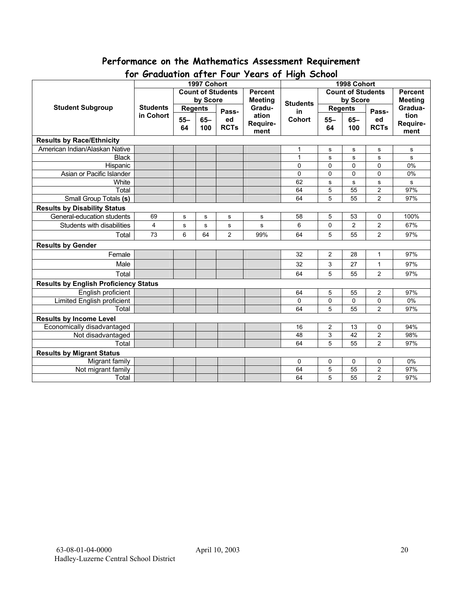# **Performance on the Mathematics Assessment Requirement**

| יש ו<br>$\sigma$<br>1997 Cohort              |                 |                |             |                          | 15013011119110011001 | 1998 Cohort    |                          |                |                           |                |
|----------------------------------------------|-----------------|----------------|-------------|--------------------------|----------------------|----------------|--------------------------|----------------|---------------------------|----------------|
|                                              |                 |                |             | <b>Count of Students</b> | <b>Percent</b>       |                | <b>Count of Students</b> |                |                           | <b>Percent</b> |
|                                              |                 |                |             |                          | <b>Meeting</b>       |                | by Score                 |                |                           |                |
| <b>Student Subgroup</b>                      | <b>Students</b> | by Score       |             | Gradu-                   | <b>Students</b>      | <b>Regents</b> |                          |                | <b>Meeting</b><br>Gradua- |                |
|                                              | in Cohort       | <b>Regents</b> |             | Pass-                    | ation                | in             |                          |                | Pass-                     | tion           |
|                                              |                 | $55 -$         | $65-$       | ed                       | Require-             | Cohort         | $55 -$                   | $65-$          | ed                        | Require-       |
|                                              |                 | 64             | 100         | <b>RCTs</b>              | ment                 |                | 64                       | 100            | <b>RCTs</b>               | ment           |
| <b>Results by Race/Ethnicity</b>             |                 |                |             |                          |                      |                |                          |                |                           |                |
| American Indian/Alaskan Native               |                 |                |             |                          |                      | 1              | s                        | s              | s                         | s              |
| <b>Black</b>                                 |                 |                |             |                          |                      | $\mathbf{1}$   | s                        | s              | $\sf s$                   | s              |
| Hispanic                                     |                 |                |             |                          |                      | 0              | $\Omega$                 | 0              | $\mathbf 0$               | 0%             |
| Asian or Pacific Islander                    |                 |                |             |                          |                      | 0              | 0                        | 0              | 0                         | 0%             |
| White                                        |                 |                |             |                          |                      | 62             | s                        | s              | s                         | s              |
| Total                                        |                 |                |             |                          |                      | 64             | $\overline{5}$           | 55             | $\overline{2}$            | 97%            |
| Small Group Totals (s)                       |                 |                |             |                          |                      | 64             | 5                        | 55             | $\overline{2}$            | 97%            |
| <b>Results by Disability Status</b>          |                 |                |             |                          |                      |                |                          |                |                           |                |
| General-education students                   | 69              | $\mathbf s$    | $\mathbf s$ | s                        | s                    | 58             | 5                        | 53             | 0                         | 100%           |
| Students with disabilities                   | 4               | $\mathbf s$    | s           | s                        | s                    | 6              | $\mathbf 0$              | $\overline{2}$ | $\overline{c}$            | 67%            |
| Total                                        | 73              | 6              | 64          | $\overline{2}$           | 99%                  | 64             | 5                        | 55             | $\overline{2}$            | 97%            |
| <b>Results by Gender</b>                     |                 |                |             |                          |                      |                |                          |                |                           |                |
| Female                                       |                 |                |             |                          |                      | 32             | $\overline{2}$           | 28             | 1                         | 97%            |
| Male                                         |                 |                |             |                          |                      | 32             | 3                        | 27             | $\mathbf{1}$              | 97%            |
| Total                                        |                 |                |             |                          |                      | 64             | 5                        | 55             | $\overline{2}$            | 97%            |
| <b>Results by English Proficiency Status</b> |                 |                |             |                          |                      |                |                          |                |                           |                |
| English proficient                           |                 |                |             |                          |                      | 64             | 5                        | 55             | $\overline{2}$            | 97%            |
| <b>Limited English proficient</b>            |                 |                |             |                          |                      | $\Omega$       | 0                        | 0              | 0                         | 0%             |
| Total                                        |                 |                |             |                          |                      | 64             | 5                        | 55             | $\overline{2}$            | 97%            |
| <b>Results by Income Level</b>               |                 |                |             |                          |                      |                |                          |                |                           |                |
| Economically disadvantaged                   |                 |                |             |                          |                      | 16             | $\overline{2}$           | 13             | 0                         | 94%            |
| Not disadvantaged                            |                 |                |             |                          |                      | 48             | 3                        | 42             | $\overline{2}$            | 98%            |
| Total                                        |                 |                |             |                          |                      | 64             | 5                        | 55             | $\overline{2}$            | 97%            |
| <b>Results by Migrant Status</b>             |                 |                |             |                          |                      |                |                          |                |                           |                |
| Migrant family                               |                 |                |             |                          |                      | 0              | 0                        | 0              | 0                         | 0%             |
| Not migrant family                           |                 |                |             |                          |                      | 64             | 5                        | 55             | $\overline{2}$            | 97%            |
| Total                                        |                 |                |             |                          |                      | 64             | 5                        | 55             | $\overline{c}$            | 97%            |

## **for Graduation after Four Years of High School**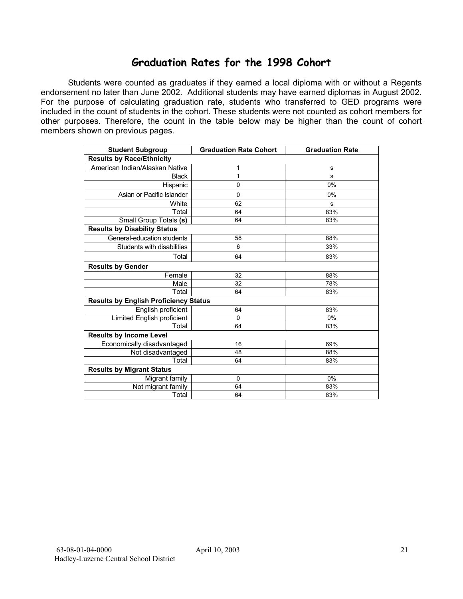### **Graduation Rates for the 1998 Cohort**

Students were counted as graduates if they earned a local diploma with or without a Regents endorsement no later than June 2002. Additional students may have earned diplomas in August 2002. For the purpose of calculating graduation rate, students who transferred to GED programs were included in the count of students in the cohort. These students were not counted as cohort members for other purposes. Therefore, the count in the table below may be higher than the count of cohort members shown on previous pages.

| <b>Student Subgroup</b>                      | <b>Graduation Rate Cohort</b> | <b>Graduation Rate</b> |  |  |  |  |  |  |  |
|----------------------------------------------|-------------------------------|------------------------|--|--|--|--|--|--|--|
| <b>Results by Race/Ethnicity</b>             |                               |                        |  |  |  |  |  |  |  |
| American Indian/Alaskan Native               | 1                             | s                      |  |  |  |  |  |  |  |
| <b>Black</b>                                 | 1                             | s                      |  |  |  |  |  |  |  |
| Hispanic                                     | $\mathbf 0$                   | 0%                     |  |  |  |  |  |  |  |
| Asian or Pacific Islander                    | $\mathbf 0$                   | 0%                     |  |  |  |  |  |  |  |
| White                                        | 62                            | s                      |  |  |  |  |  |  |  |
| Total                                        | 64                            | 83%                    |  |  |  |  |  |  |  |
| Small Group Totals (s)                       | 64                            | 83%                    |  |  |  |  |  |  |  |
| <b>Results by Disability Status</b>          |                               |                        |  |  |  |  |  |  |  |
| General-education students                   | 58                            | 88%                    |  |  |  |  |  |  |  |
| Students with disabilities                   | 6                             | 33%                    |  |  |  |  |  |  |  |
| Total                                        | 64                            | 83%                    |  |  |  |  |  |  |  |
| <b>Results by Gender</b>                     |                               |                        |  |  |  |  |  |  |  |
| Female                                       | 32                            | 88%                    |  |  |  |  |  |  |  |
| Male                                         | 32                            | 78%                    |  |  |  |  |  |  |  |
| Total                                        | 64                            | 83%                    |  |  |  |  |  |  |  |
| <b>Results by English Proficiency Status</b> |                               |                        |  |  |  |  |  |  |  |
| English proficient                           | 64                            | 83%                    |  |  |  |  |  |  |  |
| Limited English proficient                   | $\Omega$                      | 0%                     |  |  |  |  |  |  |  |
| Total                                        | 64                            | 83%                    |  |  |  |  |  |  |  |
| <b>Results by Income Level</b>               |                               |                        |  |  |  |  |  |  |  |
| Economically disadvantaged                   | 16                            | 69%                    |  |  |  |  |  |  |  |
| Not disadvantaged                            | 48                            | 88%                    |  |  |  |  |  |  |  |
| Total                                        | 64                            | 83%                    |  |  |  |  |  |  |  |
| <b>Results by Migrant Status</b>             |                               |                        |  |  |  |  |  |  |  |
| Migrant family                               | $\mathbf 0$                   | 0%                     |  |  |  |  |  |  |  |
| Not migrant family                           | 64                            | 83%                    |  |  |  |  |  |  |  |
| Total                                        | 64                            | 83%                    |  |  |  |  |  |  |  |